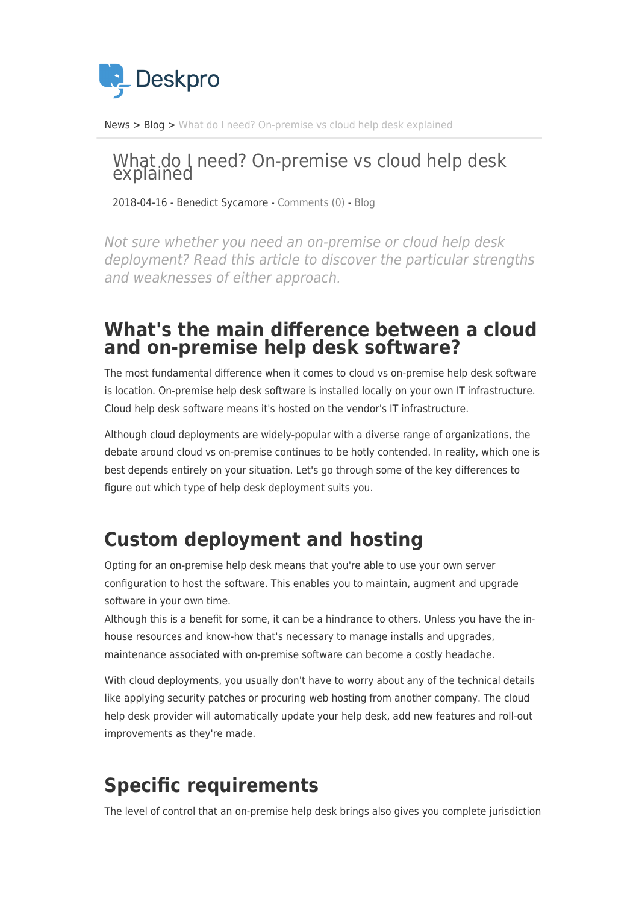

[News](https://support.deskpro.com/sv/news) > [Blog](https://support.deskpro.com/sv/news/blog) > [What do I need? On-premise vs cloud help desk explained](https://support.deskpro.com/sv/news/posts/what-do-i-need-on-premise-vs-cloud-help-desk-explained)

# What do I need? On-premise vs cloud help desk<br>explained

2018-04-16 - Benedict Sycamore - [Comments \(0\)](#page--1-0) - [Blog](https://support.deskpro.com/sv/news/blog)

Not sure whether you need an on-premise or cloud help desk deployment? Read this article to discover the particular strengths and weaknesses of either approach.

#### **What's the main difference between a cloud and on-premise help desk software?**

The most fundamental difference when it comes to cloud vs on-premise help desk software is location. On-premise help desk software is installed locally on your own IT infrastructure. Cloud help desk software means it's hosted on the vendor's IT infrastructure.

Although cloud deployments are widely-popular with a diverse range of organizations, the debate around cloud vs on-premise continues to be hotly contended. In reality, which one is best depends entirely on your situation. Let's go through some of the key differences to figure out which type of help desk deployment suits you.

### **Custom deployment and hosting**

Opting for an on-premise help desk means that you're able to use your own server configuration to host the software. This enables you to maintain, augment and upgrade software in your own time.

Although this is a benefit for some, it can be a hindrance to others. Unless you have the inhouse resources and know-how that's necessary to manage installs and upgrades, maintenance associated with on-premise software can become a costly headache.

With cloud deployments, you usually don't have to worry about any of the technical details like applying security patches or procuring web hosting from another company. The cloud help desk provider will automatically update your help desk, add new features and roll-out improvements as they're made.

## **Specific requirements**

The level of control that an on-premise help desk brings also gives you complete jurisdiction